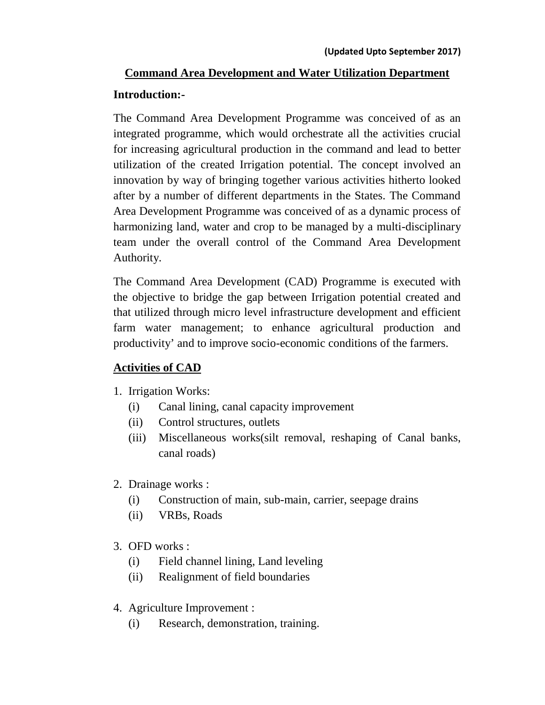# **Command Area Development and Water Utilization Department Introduction:-**

The Command Area Development Programme was conceived of as an integrated programme, which would orchestrate all the activities crucial for increasing agricultural production in the command and lead to better utilization of the created Irrigation potential. The concept involved an innovation by way of bringing together various activities hitherto looked after by a number of different departments in the States. The Command Area Development Programme was conceived of as a dynamic process of harmonizing land, water and crop to be managed by a multi-disciplinary team under the overall control of the Command Area Development Authority.

The Command Area Development (CAD) Programme is executed with the objective to bridge the gap between Irrigation potential created and that utilized through micro level infrastructure development and efficient farm water management; to enhance agricultural production and productivity' and to improve socio-economic conditions of the farmers.

## **Activities of CAD**

- 1. Irrigation Works:
	- (i) Canal lining, canal capacity improvement
	- (ii) Control structures, outlets
	- (iii) Miscellaneous works(silt removal, reshaping of Canal banks, canal roads)
- 2. Drainage works :
	- (i) Construction of main, sub-main, carrier, seepage drains
	- (ii) VRBs, Roads
- 3. OFD works :
	- (i) Field channel lining, Land leveling
	- (ii) Realignment of field boundaries
- 4. Agriculture Improvement :
	- (i) Research, demonstration, training.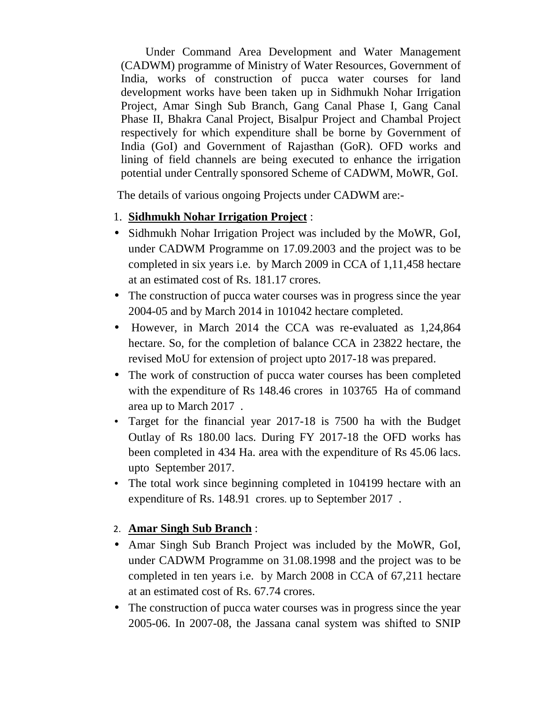Under Command Area Development and Water Management (CADWM) programme of Ministry of Water Resources, Government of India, works of construction of pucca water courses for land development works have been taken up in Sidhmukh Nohar Irrigation Project, Amar Singh Sub Branch, Gang Canal Phase I, Gang Canal Phase II, Bhakra Canal Project, Bisalpur Project and Chambal Project respectively for which expenditure shall be borne by Government of India (GoI) and Government of Rajasthan (GoR). OFD works and lining of field channels are being executed to enhance the irrigation potential under Centrally sponsored Scheme of CADWM, MoWR, GoI.

The details of various ongoing Projects under CADWM are:-

- 1. **Sidhmukh Nohar Irrigation Project** :
- Sidhmukh Nohar Irrigation Project was included by the MoWR, GoI, under CADWM Programme on 17.09.2003 and the project was to be completed in six years i.e. by March 2009 in CCA of 1,11,458 hectare at an estimated cost of Rs. 181.17 crores.
- The construction of pucca water courses was in progress since the year 2004-05 and by March 2014 in 101042 hectare completed.
- However, in March 2014 the CCA was re-evaluated as 1,24,864 hectare. So, for the completion of balance CCA in 23822 hectare, the revised MoU for extension of project upto 2017-18 was prepared.
- The work of construction of pucca water courses has been completed with the expenditure of Rs 148.46 crores in 103765 Ha of command area up to March 2017 .
- Target for the financial year 2017-18 is 7500 ha with the Budget Outlay of Rs 180.00 lacs. During FY 2017-18 the OFD works has been completed in 434 Ha. area with the expenditure of Rs 45.06 lacs. upto September 2017.
- The total work since beginning completed in 104199 hectare with an expenditure of Rs. 148.91 crores. up to September 2017 .

#### 2. **Amar Singh Sub Branch** :

- Amar Singh Sub Branch Project was included by the MoWR, GoI, under CADWM Programme on 31.08.1998 and the project was to be completed in ten years i.e. by March 2008 in CCA of 67,211 hectare at an estimated cost of Rs. 67.74 crores.
- The construction of pucca water courses was in progress since the year 2005-06. In 2007-08, the Jassana canal system was shifted to SNIP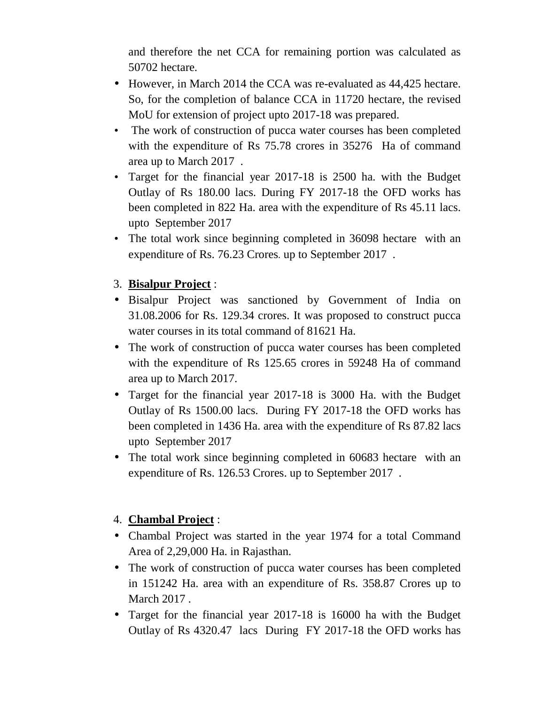and therefore the net CCA for remaining portion was calculated as 50702 hectare.

- However, in March 2014 the CCA was re-evaluated as 44,425 hectare. So, for the completion of balance CCA in 11720 hectare, the revised MoU for extension of project upto 2017-18 was prepared.
- The work of construction of pucca water courses has been completed with the expenditure of Rs 75.78 crores in 35276 Ha of command area up to March 2017 .
- Target for the financial year 2017-18 is 2500 ha. with the Budget Outlay of Rs 180.00 lacs. During FY 2017-18 the OFD works has been completed in 822 Ha. area with the expenditure of Rs 45.11 lacs. upto September 2017
- The total work since beginning completed in 36098 hectare with an expenditure of Rs. 76.23 Crores. up to September 2017 .

## 3. **Bisalpur Project** :

- Bisalpur Project was sanctioned by Government of India on 31.08.2006 for Rs. 129.34 crores. It was proposed to construct pucca water courses in its total command of 81621 Ha.
- The work of construction of pucca water courses has been completed with the expenditure of Rs 125.65 crores in 59248 Ha of command area up to March 2017.
- Target for the financial year 2017-18 is 3000 Ha. with the Budget Outlay of Rs 1500.00 lacs. During FY 2017-18 the OFD works has been completed in 1436 Ha. area with the expenditure of Rs 87.82 lacs upto September 2017
- The total work since beginning completed in 60683 hectare with an expenditure of Rs. 126.53 Crores. up to September 2017 .

## 4. **Chambal Project** :

- Chambal Project was started in the year 1974 for a total Command Area of 2,29,000 Ha. in Rajasthan.
- The work of construction of pucca water courses has been completed in 151242 Ha. area with an expenditure of Rs. 358.87 Crores up to March 2017 .
- Target for the financial year 2017-18 is 16000 ha with the Budget Outlay of Rs 4320.47 lacs During FY 2017-18 the OFD works has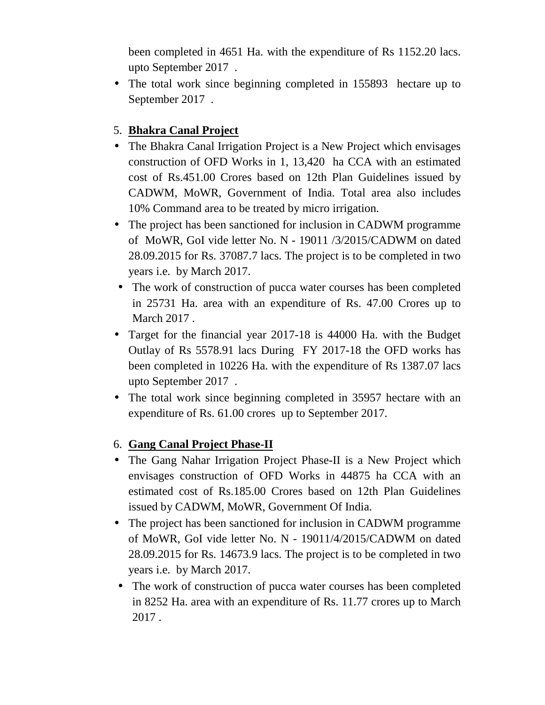been completed in 4651 Ha. with the expenditure of Rs 1152.20 lacs. upto September 2017 .

• The total work since beginning completed in 155893 hectare up to September 2017 .

### 5. **Bhakra Canal Project**

- The Bhakra Canal Irrigation Project is a New Project which envisages construction of OFD Works in 1, 13,420 ha CCA with an estimated cost of Rs.451.00 Crores based on 12th Plan Guidelines issued by CADWM, MoWR, Government of India. Total area also includes 10% Command area to be treated by micro irrigation.
- The project has been sanctioned for inclusion in CADWM programme of MoWR, GoI vide letter No. N - 19011 /3/2015/CADWM on dated 28.09.2015 for Rs. 37087.7 lacs. The project is to be completed in two years i.e. by March 2017.
- The work of construction of pucca water courses has been completed in 25731 Ha. area with an expenditure of Rs. 47.00 Crores up to March 2017 .
- Target for the financial year 2017-18 is 44000 Ha. with the Budget Outlay of Rs 5578.91 lacs During FY 2017-18 the OFD works has been completed in 10226 Ha. with the expenditure of Rs 1387.07 lacs upto September 2017 .
- The total work since beginning completed in 35957 hectare with an expenditure of Rs. 61.00 crores up to September 2017.

#### 6. **Gang Canal Project Phase-II**

- The Gang Nahar Irrigation Project Phase-II is a New Project which envisages construction of OFD Works in 44875 ha CCA with an estimated cost of Rs.185.00 Crores based on 12th Plan Guidelines issued by CADWM, MoWR, Government Of India.
- The project has been sanctioned for inclusion in CADWM programme of MoWR, GoI vide letter No. N - 19011/4/2015/CADWM on dated 28.09.2015 for Rs. 14673.9 lacs. The project is to be completed in two years i.e. by March 2017.
- The work of construction of pucca water courses has been completed in 8252 Ha. area with an expenditure of Rs. 11.77 crores up to March 2017 .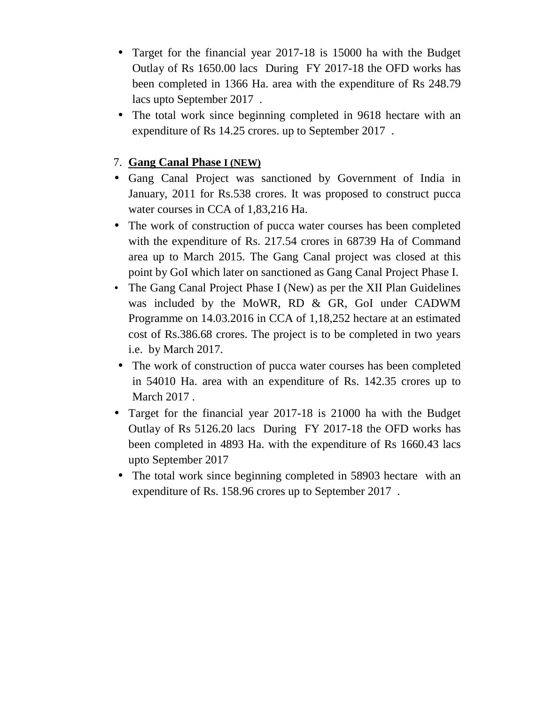- Target for the financial year 2017-18 is 15000 ha with the Budget Outlay of Rs 1650.00 lacs During FY 2017-18 the OFD works has been completed in 1366 Ha. area with the expenditure of Rs 248.79 lacs upto September 2017 .
- The total work since beginning completed in 9618 hectare with an expenditure of Rs 14.25 crores. up to September 2017 .

#### 7. **Gang Canal Phase I (NEW)**

- Gang Canal Project was sanctioned by Government of India in January, 2011 for Rs.538 crores. It was proposed to construct pucca water courses in CCA of 1,83,216 Ha.
- The work of construction of pucca water courses has been completed with the expenditure of Rs. 217.54 crores in 68739 Ha of Command area up to March 2015. The Gang Canal project was closed at this point by GoI which later on sanctioned as Gang Canal Project Phase I.
- The Gang Canal Project Phase I (New) as per the XII Plan Guidelines was included by the MoWR, RD & GR, GoI under CADWM Programme on 14.03.2016 in CCA of 1,18,252 hectare at an estimated cost of Rs.386.68 crores. The project is to be completed in two years i.e. by March 2017.
- The work of construction of pucca water courses has been completed in 54010 Ha. area with an expenditure of Rs. 142.35 crores up to March 2017 .
- Target for the financial year 2017-18 is 21000 ha with the Budget Outlay of Rs 5126.20 lacs During FY 2017-18 the OFD works has been completed in 4893 Ha. with the expenditure of Rs 1660.43 lacs upto September 2017
- The total work since beginning completed in 58903 hectare with an expenditure of Rs. 158.96 crores up to September 2017 .